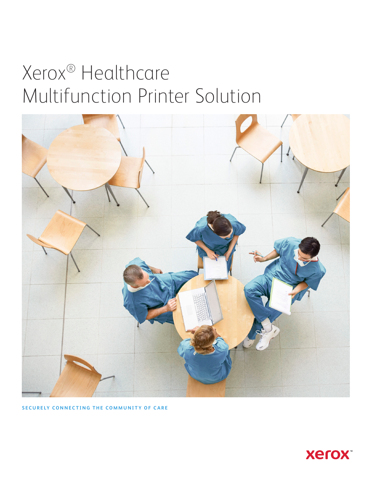# Xerox® Healthcare Multifunction Printer Solution



**SECURELY CONNECTING THE COMMUNITY OF CARE**

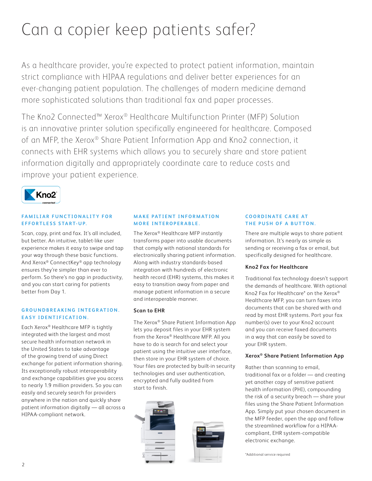# Can a copier keep patients safer?

As a healthcare provider, you're expected to protect patient information, maintain strict compliance with HIPAA regulations and deliver better experiences for an ever-changing patient population. The challenges of modern medicine demand more sophisticated solutions than traditional fax and paper processes.

The Kno2 Connected™ Xerox® Healthcare Multifunction Printer (MFP) Solution is an innovative printer solution specifically engineered for healthcare. Composed of an MFP, the Xerox® Share Patient Information App and Kno2 connection, it connects with EHR systems which allows you to securely share and store patient information digitally and appropriately coordinate care to reduce costs and improve your patient experience.



### **FAMILIAR FUNCTIONALITY FOR EFFORTLESS START-UP.**

Scan, copy, print and fax. It's all included, but better. An intuitive, tablet-like user experience makes it easy to swipe and tap your way through these basic functions. And Xerox® ConnectKey® app technology ensures they're simpler than ever to perform. So there's no gap in productivity, and you can start caring for patients better from Day 1.

## **GROUNDBREAKING INTEGRATION. EASY IDENTIFICATION.**

Each Xerox® Healthcare MFP is tightly integrated with the largest and most secure health information network in the United States to take advantage of the growing trend of using Direct exchange for patient information sharing. Its exceptionally robust interoperability and exchange capabilities give you access to nearly 1.9 million providers. So you can easily and securely search for providers anywhere in the nation and quickly share patient information digitally — all across a HIPAA-compliant network.

# **MAKE PATIENT INFORMATION MORE INTEROPERABLE.**

The Xerox® Healthcare MFP instantly transforms paper into usable documents that comply with national standards for electronically sharing patient information. Along with industry standards-based integration with hundreds of electronic health record (EHR) systems, this makes it easy to transition away from paper and manage patient information in a secure and interoperable manner.

# **Scan to EHR**

The Xerox® Share Patient Information App lets you deposit files in your EHR system from the Xerox® Healthcare MFP. All you have to do is search for and select your patient using the intuitive user interface, then store in your EHR system of choice. Your files are protected by built-in security technologies and user authentication, encrypted and fully audited from start to finish.



### **COORDINATE CARE AT THE PUSH OF A BUTTON.**

There are multiple ways to share patient information. It's nearly as simple as sending or receiving a fax or email, but specifically designed for healthcare.

# **Kno2 Fax for Healthcare**

Traditional fax technology doesn't support the demands of healthcare. With optional Kno2 Fax for Healthcare\* on the Xerox® Healthcare MFP, you can turn faxes into documents that can be shared with and read by most EHR systems. Port your fax number(s) over to your Kno2 account and you can receive faxed documents in a way that can easily be saved to your EHR system.

# **Xerox® Share Patient Information App**

Rather than scanning to email, traditional fax or a folder — and creating yet another copy of sensitive patient health information (PHI), compounding the risk of a security breach — share your files using the Share Patient Information App. Simply put your chosen document in the MFP feeder, open the app and follow the streamlined workflow for a HIPAAcompliant, EHR system-compatible electronic exchange.

\*Additional service required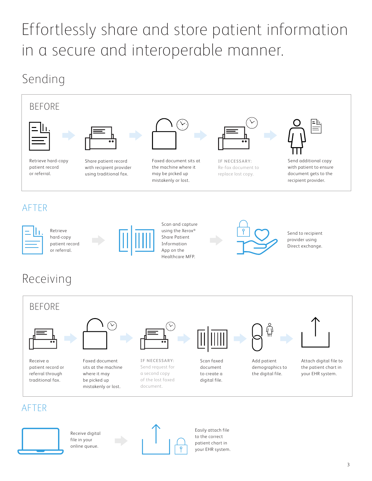# Effortlessly share and store patient information in a secure and interoperable manner.

# Sending





# AFTER



Receive digital file in your online queue.



Easily attach file to the correct patient chart in your EHR system.